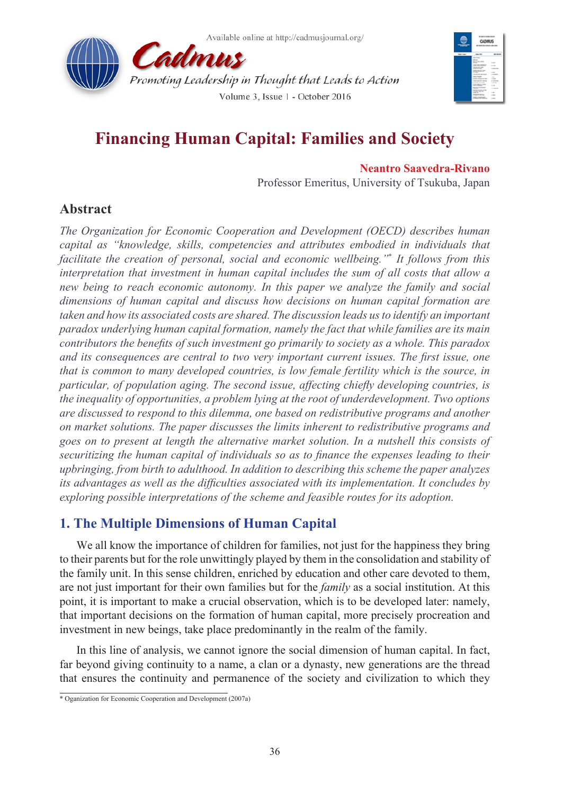



# **Financing Human Capital: Families and Society**

**Neantro Saavedra-Rivano**

Professor Emeritus, University of Tsukuba, Japan

# **Abstract**

*The Organization for Economic Cooperation and Development (OECD) describes human capital as "knowledge, skills, competencies and attributes embodied in individuals that*  facilitate the creation of personal, social and economic wellbeing."<sup>\*</sup> It follows from this *interpretation that investment in human capital includes the sum of all costs that allow a new being to reach economic autonomy. In this paper we analyze the family and social dimensions of human capital and discuss how decisions on human capital formation are taken and how its associated costs are shared. The discussion leads us to identify an important paradox underlying human capital formation, namely the fact that while families are its main contributors the benefits of such investment go primarily to society as a whole. This paradox and its consequences are central to two very important current issues. The first issue, one that is common to many developed countries, is low female fertility which is the source, in particular, of population aging. The second issue, affecting chiefly developing countries, is the inequality of opportunities, a problem lying at the root of underdevelopment. Two options are discussed to respond to this dilemma, one based on redistributive programs and another on market solutions. The paper discusses the limits inherent to redistributive programs and goes on to present at length the alternative market solution. In a nutshell this consists of securitizing the human capital of individuals so as to finance the expenses leading to their upbringing, from birth to adulthood. In addition to describing this scheme the paper analyzes its advantages as well as the difficulties associated with its implementation. It concludes by exploring possible interpretations of the scheme and feasible routes for its adoption.*

# **1. The Multiple Dimensions of Human Capital**

We all know the importance of children for families, not just for the happiness they bring to their parents but for the role unwittingly played by them in the consolidation and stability of the family unit. In this sense children, enriched by education and other care devoted to them, are not just important for their own families but for the *family* as a social institution. At this point, it is important to make a crucial observation, which is to be developed later: namely, that important decisions on the formation of human capital, more precisely procreation and investment in new beings, take place predominantly in the realm of the family.

In this line of analysis, we cannot ignore the social dimension of human capital. In fact, far beyond giving continuity to a name, a clan or a dynasty, new generations are the thread that ensures the continuity and permanence of the society and civilization to which they

<sup>\*</sup> Oganization for Economic Cooperation and Development (2007a)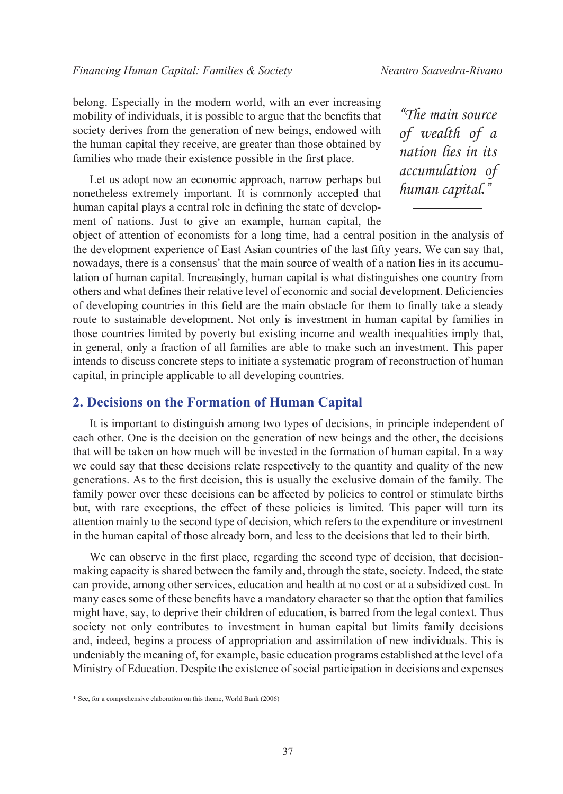belong. Especially in the modern world, with an ever increasing mobility of individuals, it is possible to argue that the benefits that society derives from the generation of new beings, endowed with the human capital they receive, are greater than those obtained by families who made their existence possible in the first place.

Let us adopt now an economic approach, narrow perhaps but nonetheless extremely important. It is commonly accepted that human capital plays a central role in defining the state of development of nations. Just to give an example, human capital, the

*"The main source of wealth of a nation lies in its accumulation of human capital."*

object of attention of economists for a long time, had a central position in the analysis of the development experience of East Asian countries of the last fifty years. We can say that, nowadays, there is a consensus\* that the main source of wealth of a nation lies in its accumulation of human capital. Increasingly, human capital is what distinguishes one country from others and what defines their relative level of economic and social development. Deficiencies of developing countries in this field are the main obstacle for them to finally take a steady route to sustainable development. Not only is investment in human capital by families in those countries limited by poverty but existing income and wealth inequalities imply that, in general, only a fraction of all families are able to make such an investment. This paper intends to discuss concrete steps to initiate a systematic program of reconstruction of human capital, in principle applicable to all developing countries.

#### **2. Decisions on the Formation of Human Capital**

It is important to distinguish among two types of decisions, in principle independent of each other. One is the decision on the generation of new beings and the other, the decisions that will be taken on how much will be invested in the formation of human capital. In a way we could say that these decisions relate respectively to the quantity and quality of the new generations. As to the first decision, this is usually the exclusive domain of the family. The family power over these decisions can be affected by policies to control or stimulate births but, with rare exceptions, the effect of these policies is limited. This paper will turn its attention mainly to the second type of decision, which refers to the expenditure or investment in the human capital of those already born, and less to the decisions that led to their birth.

We can observe in the first place, regarding the second type of decision, that decisionmaking capacity is shared between the family and, through the state, society. Indeed, the state can provide, among other services, education and health at no cost or at a subsidized cost. In many cases some of these benefits have a mandatory character so that the option that families might have, say, to deprive their children of education, is barred from the legal context. Thus society not only contributes to investment in human capital but limits family decisions and, indeed, begins a process of appropriation and assimilation of new individuals. This is undeniably the meaning of, for example, basic education programs established at the level of a Ministry of Education. Despite the existence of social participation in decisions and expenses

<sup>\*</sup> See, for a comprehensive elaboration on this theme, World Bank (2006)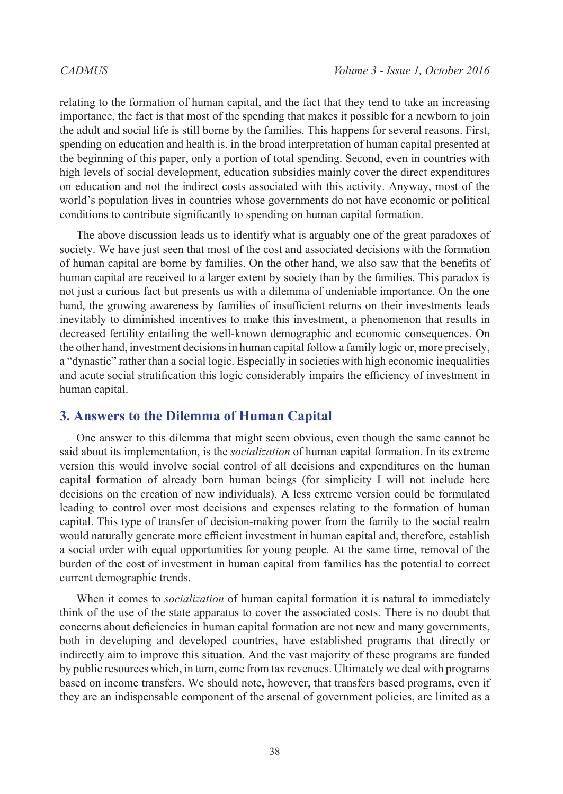relating to the formation of human capital, and the fact that they tend to take an increasing importance, the fact is that most of the spending that makes it possible for a newborn to join the adult and social life is still borne by the families. This happens for several reasons. First, spending on education and health is, in the broad interpretation of human capital presented at the beginning of this paper, only a portion of total spending. Second, even in countries with high levels of social development, education subsidies mainly cover the direct expenditures on education and not the indirect costs associated with this activity. Anyway, most of the world's population lives in countries whose governments do not have economic or political conditions to contribute significantly to spending on human capital formation.

The above discussion leads us to identify what is arguably one of the great paradoxes of society. We have just seen that most of the cost and associated decisions with the formation of human capital are borne by families. On the other hand, we also saw that the benefits of human capital are received to a larger extent by society than by the families. This paradox is not just a curious fact but presents us with a dilemma of undeniable importance. On the one hand, the growing awareness by families of insufficient returns on their investments leads inevitably to diminished incentives to make this investment, a phenomenon that results in decreased fertility entailing the well-known demographic and economic consequences. On the other hand, investment decisions in human capital follow a family logic or, more precisely, a "dynastic" rather than a social logic. Especially in societies with high economic inequalities and acute social stratification this logic considerably impairs the efficiency of investment in human capital.

#### **3. Answers to the Dilemma of Human Capital**

One answer to this dilemma that might seem obvious, even though the same cannot be said about its implementation, is the *socialization* of human capital formation. In its extreme version this would involve social control of all decisions and expenditures on the human capital formation of already born human beings (for simplicity I will not include here decisions on the creation of new individuals). A less extreme version could be formulated leading to control over most decisions and expenses relating to the formation of human capital. This type of transfer of decision-making power from the family to the social realm would naturally generate more efficient investment in human capital and, therefore, establish a social order with equal opportunities for young people. At the same time, removal of the burden of the cost of investment in human capital from families has the potential to correct current demographic trends.

When it comes to *socialization* of human capital formation it is natural to immediately think of the use of the state apparatus to cover the associated costs. There is no doubt that concerns about deficiencies in human capital formation are not new and many governments, both in developing and developed countries, have established programs that directly or indirectly aim to improve this situation. And the vast majority of these programs are funded by public resources which, in turn, come from tax revenues. Ultimately we deal with programs based on income transfers. We should note, however, that transfers based programs, even if they are an indispensable component of the arsenal of government policies, are limited as a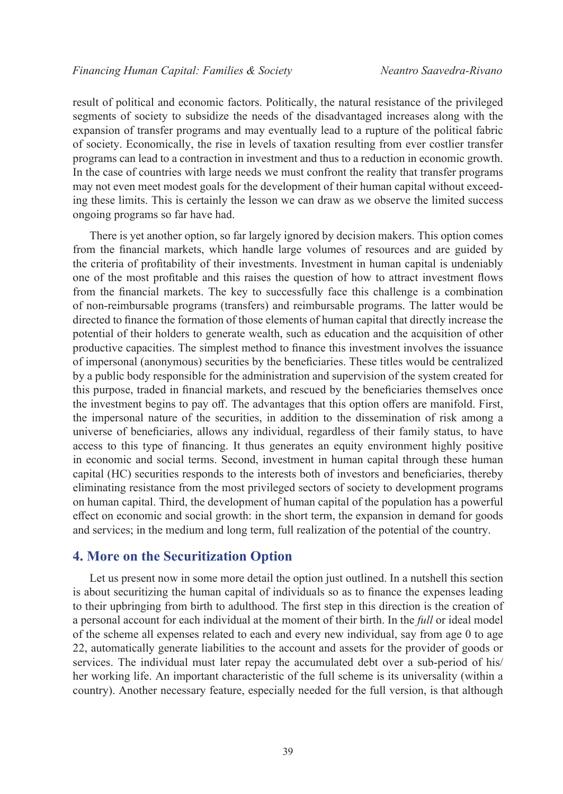result of political and economic factors. Politically, the natural resistance of the privileged segments of society to subsidize the needs of the disadvantaged increases along with the expansion of transfer programs and may eventually lead to a rupture of the political fabric of society. Economically, the rise in levels of taxation resulting from ever costlier transfer programs can lead to a contraction in investment and thus to a reduction in economic growth. In the case of countries with large needs we must confront the reality that transfer programs may not even meet modest goals for the development of their human capital without exceeding these limits. This is certainly the lesson we can draw as we observe the limited success ongoing programs so far have had.

There is yet another option, so far largely ignored by decision makers. This option comes from the financial markets, which handle large volumes of resources and are guided by the criteria of profitability of their investments. Investment in human capital is undeniably one of the most profitable and this raises the question of how to attract investment flows from the financial markets. The key to successfully face this challenge is a combination of non-reimbursable programs (transfers) and reimbursable programs. The latter would be directed to finance the formation of those elements of human capital that directly increase the potential of their holders to generate wealth, such as education and the acquisition of other productive capacities. The simplest method to finance this investment involves the issuance of impersonal (anonymous) securities by the beneficiaries. These titles would be centralized by a public body responsible for the administration and supervision of the system created for this purpose, traded in financial markets, and rescued by the beneficiaries themselves once the investment begins to pay off. The advantages that this option offers are manifold. First, the impersonal nature of the securities, in addition to the dissemination of risk among a universe of beneficiaries, allows any individual, regardless of their family status, to have access to this type of financing. It thus generates an equity environment highly positive in economic and social terms. Second, investment in human capital through these human capital (HC) securities responds to the interests both of investors and beneficiaries, thereby eliminating resistance from the most privileged sectors of society to development programs on human capital. Third, the development of human capital of the population has a powerful effect on economic and social growth: in the short term, the expansion in demand for goods and services; in the medium and long term, full realization of the potential of the country.

### **4. More on the Securitization Option**

Let us present now in some more detail the option just outlined. In a nutshell this section is about securitizing the human capital of individuals so as to finance the expenses leading to their upbringing from birth to adulthood. The first step in this direction is the creation of a personal account for each individual at the moment of their birth. In the *full* or ideal model of the scheme all expenses related to each and every new individual, say from age 0 to age 22, automatically generate liabilities to the account and assets for the provider of goods or services. The individual must later repay the accumulated debt over a sub-period of his/ her working life. An important characteristic of the full scheme is its universality (within a country). Another necessary feature, especially needed for the full version, is that although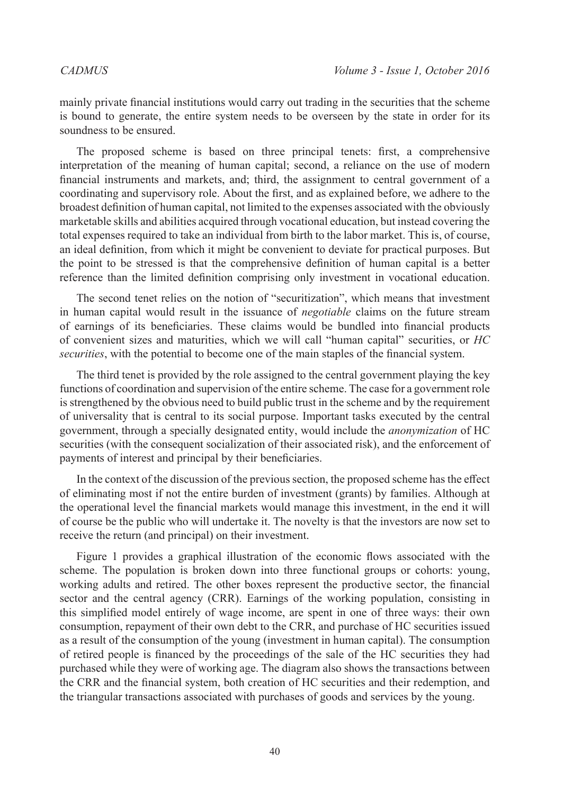mainly private financial institutions would carry out trading in the securities that the scheme is bound to generate, the entire system needs to be overseen by the state in order for its soundness to be ensured.

The proposed scheme is based on three principal tenets: first, a comprehensive interpretation of the meaning of human capital; second, a reliance on the use of modern financial instruments and markets, and; third, the assignment to central government of a coordinating and supervisory role. About the first, and as explained before, we adhere to the broadest definition of human capital, not limited to the expenses associated with the obviously marketable skills and abilities acquired through vocational education, but instead covering the total expenses required to take an individual from birth to the labor market. This is, of course, an ideal definition, from which it might be convenient to deviate for practical purposes. But the point to be stressed is that the comprehensive definition of human capital is a better reference than the limited definition comprising only investment in vocational education.

The second tenet relies on the notion of "securitization", which means that investment in human capital would result in the issuance of *negotiable* claims on the future stream of earnings of its beneficiaries. These claims would be bundled into financial products of convenient sizes and maturities, which we will call "human capital" securities, or *HC securities*, with the potential to become one of the main staples of the financial system.

The third tenet is provided by the role assigned to the central government playing the key functions of coordination and supervision of the entire scheme. The case for a government role is strengthened by the obvious need to build public trust in the scheme and by the requirement of universality that is central to its social purpose. Important tasks executed by the central government, through a specially designated entity, would include the *anonymization* of HC securities (with the consequent socialization of their associated risk), and the enforcement of payments of interest and principal by their beneficiaries.

In the context of the discussion of the previous section, the proposed scheme has the effect of eliminating most if not the entire burden of investment (grants) by families. Although at the operational level the financial markets would manage this investment, in the end it will of course be the public who will undertake it. The novelty is that the investors are now set to receive the return (and principal) on their investment.

Figure 1 provides a graphical illustration of the economic flows associated with the scheme. The population is broken down into three functional groups or cohorts: young, working adults and retired. The other boxes represent the productive sector, the financial sector and the central agency (CRR). Earnings of the working population, consisting in this simplified model entirely of wage income, are spent in one of three ways: their own consumption, repayment of their own debt to the CRR, and purchase of HC securities issued as a result of the consumption of the young (investment in human capital). The consumption of retired people is financed by the proceedings of the sale of the HC securities they had purchased while they were of working age. The diagram also shows the transactions between the CRR and the financial system, both creation of HC securities and their redemption, and the triangular transactions associated with purchases of goods and services by the young.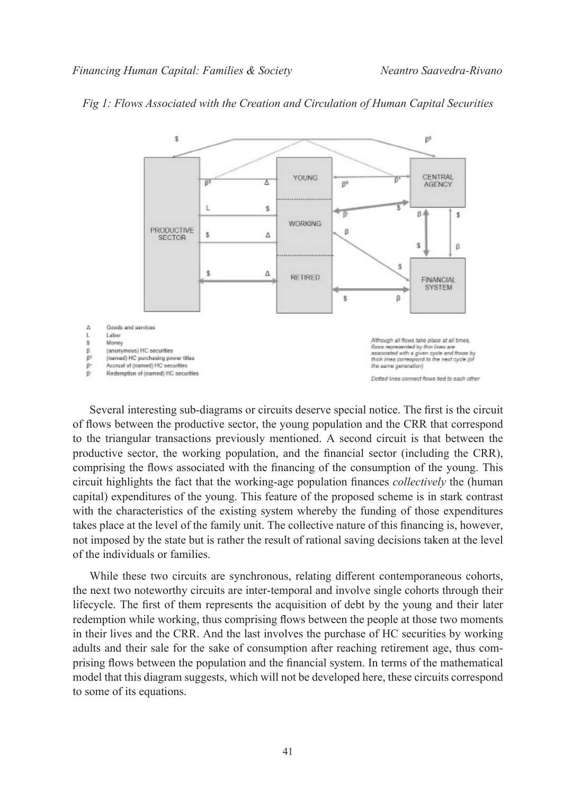

#### *Fig 1: Flows Associated with the Creation and Circulation of Human Capital Securities*

Several interesting sub-diagrams or circuits deserve special notice. The first is the circuit of flows between the productive sector, the young population and the CRR that correspond to the triangular transactions previously mentioned. A second circuit is that between the productive sector, the working population, and the financial sector (including the CRR), comprising the flows associated with the financing of the consumption of the young. This circuit highlights the fact that the working-age population finances *collectively* the (human capital) expenditures of the young. This feature of the proposed scheme is in stark contrast with the characteristics of the existing system whereby the funding of those expenditures takes place at the level of the family unit. The collective nature of this financing is, however, not imposed by the state but is rather the result of rational saving decisions taken at the level of the individuals or families.

While these two circuits are synchronous, relating different contemporaneous cohorts, the next two noteworthy circuits are inter-temporal and involve single cohorts through their lifecycle. The first of them represents the acquisition of debt by the young and their later redemption while working, thus comprising flows between the people at those two moments in their lives and the CRR. And the last involves the purchase of HC securities by working adults and their sale for the sake of consumption after reaching retirement age, thus comprising flows between the population and the financial system. In terms of the mathematical model that this diagram suggests, which will not be developed here, these circuits correspond to some of its equations.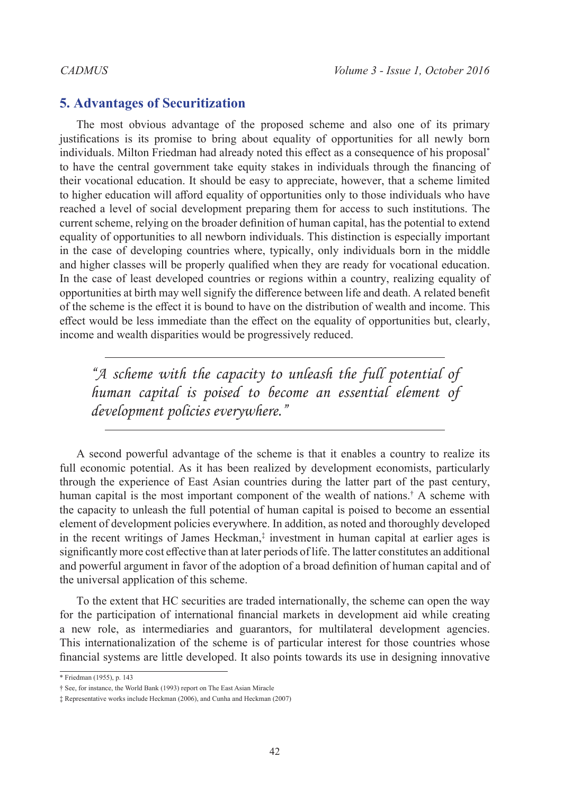### **5. Advantages of Securitization**

The most obvious advantage of the proposed scheme and also one of its primary justifications is its promise to bring about equality of opportunities for all newly born individuals. Milton Friedman had already noted this effect as a consequence of his proposal\* to have the central government take equity stakes in individuals through the financing of their vocational education. It should be easy to appreciate, however, that a scheme limited to higher education will afford equality of opportunities only to those individuals who have reached a level of social development preparing them for access to such institutions. The current scheme, relying on the broader definition of human capital, has the potential to extend equality of opportunities to all newborn individuals. This distinction is especially important in the case of developing countries where, typically, only individuals born in the middle and higher classes will be properly qualified when they are ready for vocational education. In the case of least developed countries or regions within a country, realizing equality of opportunities at birth may well signify the difference between life and death. A related benefit of the scheme is the effect it is bound to have on the distribution of wealth and income. This effect would be less immediate than the effect on the equality of opportunities but, clearly, income and wealth disparities would be progressively reduced.

*"A scheme with the capacity to unleash the full potential of human capital is poised to become an essential element of development policies everywhere."*

A second powerful advantage of the scheme is that it enables a country to realize its full economic potential. As it has been realized by development economists, particularly through the experience of East Asian countries during the latter part of the past century, human capital is the most important component of the wealth of nations.† A scheme with the capacity to unleash the full potential of human capital is poised to become an essential element of development policies everywhere. In addition, as noted and thoroughly developed in the recent writings of James Heckman,‡ investment in human capital at earlier ages is significantly more cost effective than at later periods of life. The latter constitutes an additional and powerful argument in favor of the adoption of a broad definition of human capital and of the universal application of this scheme.

To the extent that HC securities are traded internationally, the scheme can open the way for the participation of international financial markets in development aid while creating a new role, as intermediaries and guarantors, for multilateral development agencies. This internationalization of the scheme is of particular interest for those countries whose financial systems are little developed. It also points towards its use in designing innovative

<sup>\*</sup> Friedman (1955), p. 143

<sup>†</sup> See, for instance, the World Bank (1993) report on The East Asian Miracle

<sup>‡</sup> Representative works include Heckman (2006), and Cunha and Heckman (2007)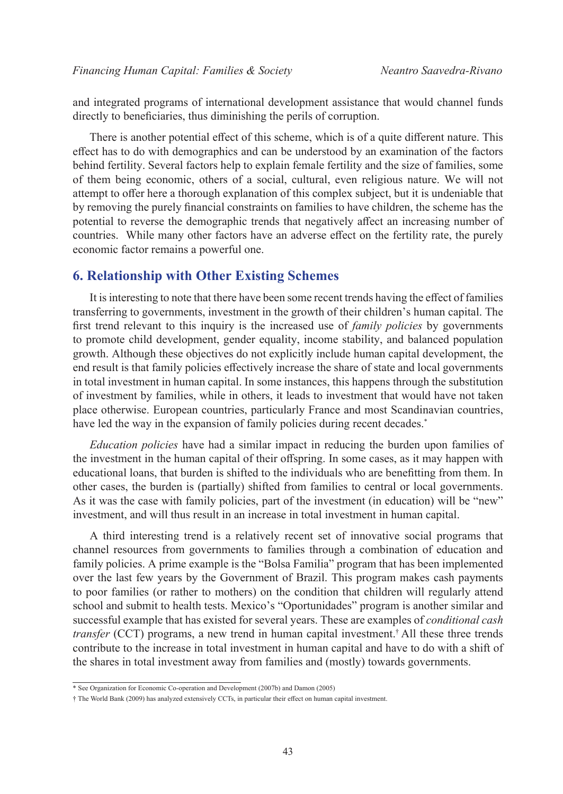and integrated programs of international development assistance that would channel funds directly to beneficiaries, thus diminishing the perils of corruption.

There is another potential effect of this scheme, which is of a quite different nature. This effect has to do with demographics and can be understood by an examination of the factors behind fertility. Several factors help to explain female fertility and the size of families, some of them being economic, others of a social, cultural, even religious nature. We will not attempt to offer here a thorough explanation of this complex subject, but it is undeniable that by removing the purely financial constraints on families to have children, the scheme has the potential to reverse the demographic trends that negatively affect an increasing number of countries. While many other factors have an adverse effect on the fertility rate, the purely economic factor remains a powerful one.

### **6. Relationship with Other Existing Schemes**

It is interesting to note that there have been some recent trends having the effect of families transferring to governments, investment in the growth of their children's human capital. The first trend relevant to this inquiry is the increased use of *family policies* by governments to promote child development, gender equality, income stability, and balanced population growth. Although these objectives do not explicitly include human capital development, the end result is that family policies effectively increase the share of state and local governments in total investment in human capital. In some instances, this happens through the substitution of investment by families, while in others, it leads to investment that would have not taken place otherwise. European countries, particularly France and most Scandinavian countries, have led the way in the expansion of family policies during recent decades.<sup>\*</sup>

*Education policies* have had a similar impact in reducing the burden upon families of the investment in the human capital of their offspring. In some cases, as it may happen with educational loans, that burden is shifted to the individuals who are benefitting from them. In other cases, the burden is (partially) shifted from families to central or local governments. As it was the case with family policies, part of the investment (in education) will be "new" investment, and will thus result in an increase in total investment in human capital.

A third interesting trend is a relatively recent set of innovative social programs that channel resources from governments to families through a combination of education and family policies. A prime example is the "Bolsa Familia" program that has been implemented over the last few years by the Government of Brazil. This program makes cash payments to poor families (or rather to mothers) on the condition that children will regularly attend school and submit to health tests. Mexico's "Oportunidades" program is another similar and successful example that has existed for several years. These are examples of *conditional cash transfer* (CCT) programs, a new trend in human capital investment.<sup>†</sup> All these three trends contribute to the increase in total investment in human capital and have to do with a shift of the shares in total investment away from families and (mostly) towards governments.

<sup>\*</sup> See Organization for Economic Co-operation and Development (2007b) and Damon (2005)

<sup>†</sup> The World Bank (2009) has analyzed extensively CCTs, in particular their effect on human capital investment.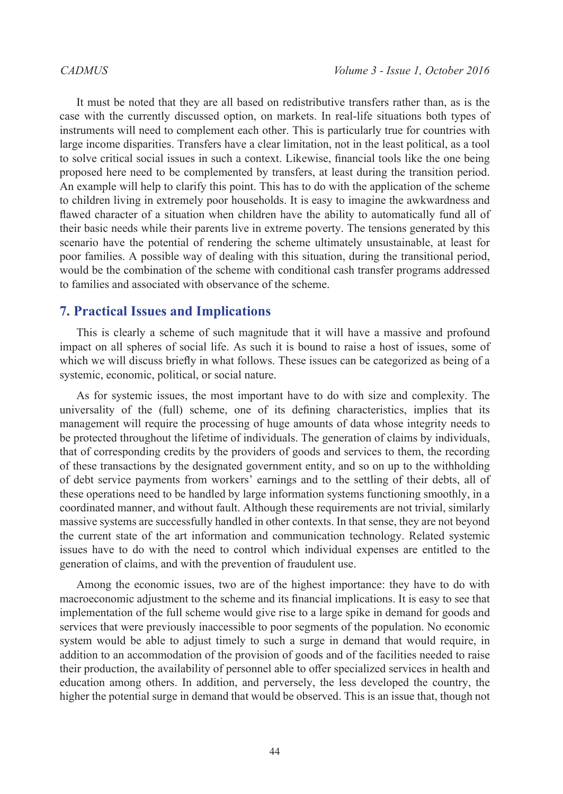It must be noted that they are all based on redistributive transfers rather than, as is the case with the currently discussed option, on markets. In real-life situations both types of instruments will need to complement each other. This is particularly true for countries with large income disparities. Transfers have a clear limitation, not in the least political, as a tool to solve critical social issues in such a context. Likewise, financial tools like the one being proposed here need to be complemented by transfers, at least during the transition period. An example will help to clarify this point. This has to do with the application of the scheme to children living in extremely poor households. It is easy to imagine the awkwardness and flawed character of a situation when children have the ability to automatically fund all of their basic needs while their parents live in extreme poverty. The tensions generated by this scenario have the potential of rendering the scheme ultimately unsustainable, at least for poor families. A possible way of dealing with this situation, during the transitional period, would be the combination of the scheme with conditional cash transfer programs addressed to families and associated with observance of the scheme.

#### **7. Practical Issues and Implications**

This is clearly a scheme of such magnitude that it will have a massive and profound impact on all spheres of social life. As such it is bound to raise a host of issues, some of which we will discuss briefly in what follows. These issues can be categorized as being of a systemic, economic, political, or social nature.

As for systemic issues, the most important have to do with size and complexity. The universality of the (full) scheme, one of its defining characteristics, implies that its management will require the processing of huge amounts of data whose integrity needs to be protected throughout the lifetime of individuals. The generation of claims by individuals, that of corresponding credits by the providers of goods and services to them, the recording of these transactions by the designated government entity, and so on up to the withholding of debt service payments from workers' earnings and to the settling of their debts, all of these operations need to be handled by large information systems functioning smoothly, in a coordinated manner, and without fault. Although these requirements are not trivial, similarly massive systems are successfully handled in other contexts. In that sense, they are not beyond the current state of the art information and communication technology. Related systemic issues have to do with the need to control which individual expenses are entitled to the generation of claims, and with the prevention of fraudulent use.

Among the economic issues, two are of the highest importance: they have to do with macroeconomic adjustment to the scheme and its financial implications. It is easy to see that implementation of the full scheme would give rise to a large spike in demand for goods and services that were previously inaccessible to poor segments of the population. No economic system would be able to adjust timely to such a surge in demand that would require, in addition to an accommodation of the provision of goods and of the facilities needed to raise their production, the availability of personnel able to offer specialized services in health and education among others. In addition, and perversely, the less developed the country, the higher the potential surge in demand that would be observed. This is an issue that, though not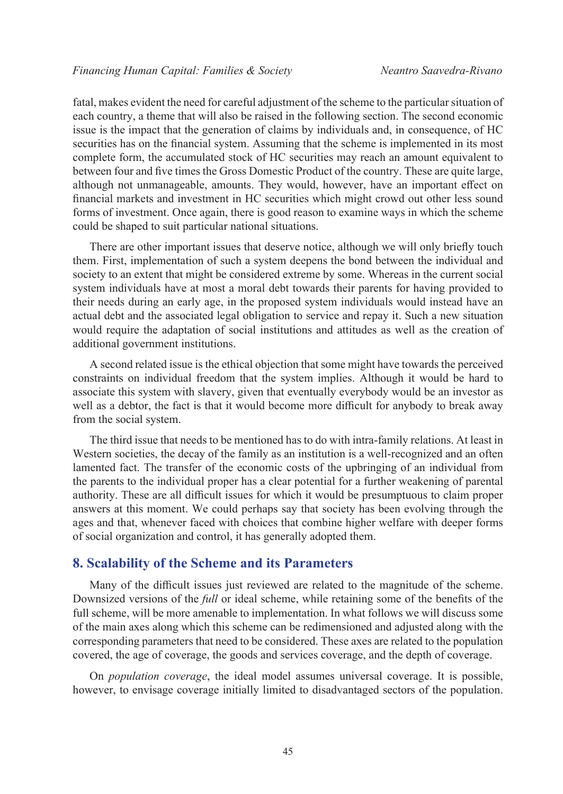fatal, makes evident the need for careful adjustment of the scheme to the particular situation of each country, a theme that will also be raised in the following section. The second economic issue is the impact that the generation of claims by individuals and, in consequence, of HC securities has on the financial system. Assuming that the scheme is implemented in its most complete form, the accumulated stock of HC securities may reach an amount equivalent to between four and five times the Gross Domestic Product of the country. These are quite large, although not unmanageable, amounts. They would, however, have an important effect on financial markets and investment in HC securities which might crowd out other less sound forms of investment. Once again, there is good reason to examine ways in which the scheme could be shaped to suit particular national situations.

There are other important issues that deserve notice, although we will only briefly touch them. First, implementation of such a system deepens the bond between the individual and society to an extent that might be considered extreme by some. Whereas in the current social system individuals have at most a moral debt towards their parents for having provided to their needs during an early age, in the proposed system individuals would instead have an actual debt and the associated legal obligation to service and repay it. Such a new situation would require the adaptation of social institutions and attitudes as well as the creation of additional government institutions.

A second related issue is the ethical objection that some might have towards the perceived constraints on individual freedom that the system implies. Although it would be hard to associate this system with slavery, given that eventually everybody would be an investor as well as a debtor, the fact is that it would become more difficult for anybody to break away from the social system.

The third issue that needs to be mentioned has to do with intra-family relations. At least in Western societies, the decay of the family as an institution is a well-recognized and an often lamented fact. The transfer of the economic costs of the upbringing of an individual from the parents to the individual proper has a clear potential for a further weakening of parental authority. These are all difficult issues for which it would be presumptuous to claim proper answers at this moment. We could perhaps say that society has been evolving through the ages and that, whenever faced with choices that combine higher welfare with deeper forms of social organization and control, it has generally adopted them.

#### **8. Scalability of the Scheme and its Parameters**

Many of the difficult issues just reviewed are related to the magnitude of the scheme. Downsized versions of the *full* or ideal scheme, while retaining some of the benefits of the full scheme, will be more amenable to implementation. In what follows we will discuss some of the main axes along which this scheme can be redimensioned and adjusted along with the corresponding parameters that need to be considered. These axes are related to the population covered, the age of coverage, the goods and services coverage, and the depth of coverage.

On *population coverage*, the ideal model assumes universal coverage. It is possible, however, to envisage coverage initially limited to disadvantaged sectors of the population.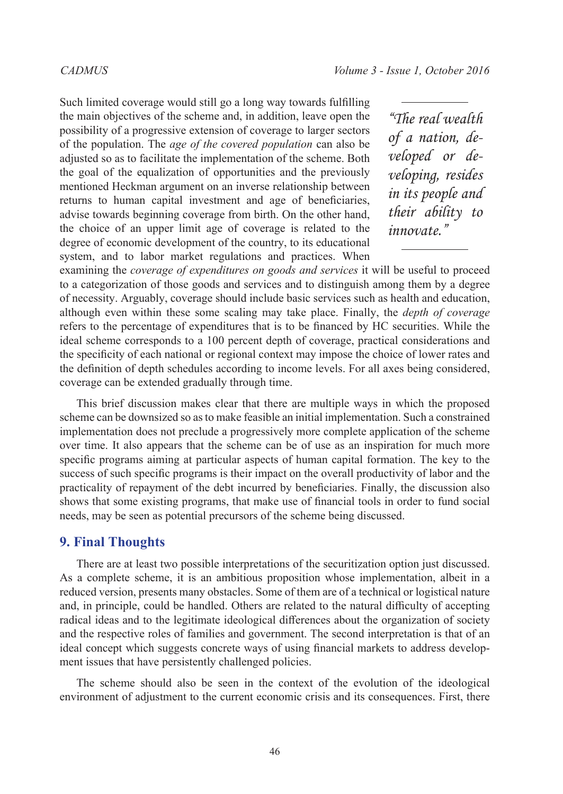Such limited coverage would still go a long way towards fulfilling the main objectives of the scheme and, in addition, leave open the possibility of a progressive extension of coverage to larger sectors of the population. The *age of the covered population* can also be adjusted so as to facilitate the implementation of the scheme. Both the goal of the equalization of opportunities and the previously mentioned Heckman argument on an inverse relationship between returns to human capital investment and age of beneficiaries, advise towards beginning coverage from birth. On the other hand, the choice of an upper limit age of coverage is related to the degree of economic development of the country, to its educational system, and to labor market regulations and practices. When

*"The real wealth of a nation, developed or developing, resides in its people and their ability to innovate."*

examining the *coverage of expenditures on goods and services* it will be useful to proceed to a categorization of those goods and services and to distinguish among them by a degree of necessity. Arguably, coverage should include basic services such as health and education, although even within these some scaling may take place. Finally, the *depth of coverage* refers to the percentage of expenditures that is to be financed by HC securities. While the ideal scheme corresponds to a 100 percent depth of coverage, practical considerations and the specificity of each national or regional context may impose the choice of lower rates and the definition of depth schedules according to income levels. For all axes being considered, coverage can be extended gradually through time.

This brief discussion makes clear that there are multiple ways in which the proposed scheme can be downsized so as to make feasible an initial implementation. Such a constrained implementation does not preclude a progressively more complete application of the scheme over time. It also appears that the scheme can be of use as an inspiration for much more specific programs aiming at particular aspects of human capital formation. The key to the success of such specific programs is their impact on the overall productivity of labor and the practicality of repayment of the debt incurred by beneficiaries. Finally, the discussion also shows that some existing programs, that make use of financial tools in order to fund social needs, may be seen as potential precursors of the scheme being discussed.

#### **9. Final Thoughts**

There are at least two possible interpretations of the securitization option just discussed. As a complete scheme, it is an ambitious proposition whose implementation, albeit in a reduced version, presents many obstacles. Some of them are of a technical or logistical nature and, in principle, could be handled. Others are related to the natural difficulty of accepting radical ideas and to the legitimate ideological differences about the organization of society and the respective roles of families and government. The second interpretation is that of an ideal concept which suggests concrete ways of using financial markets to address development issues that have persistently challenged policies.

The scheme should also be seen in the context of the evolution of the ideological environment of adjustment to the current economic crisis and its consequences. First, there